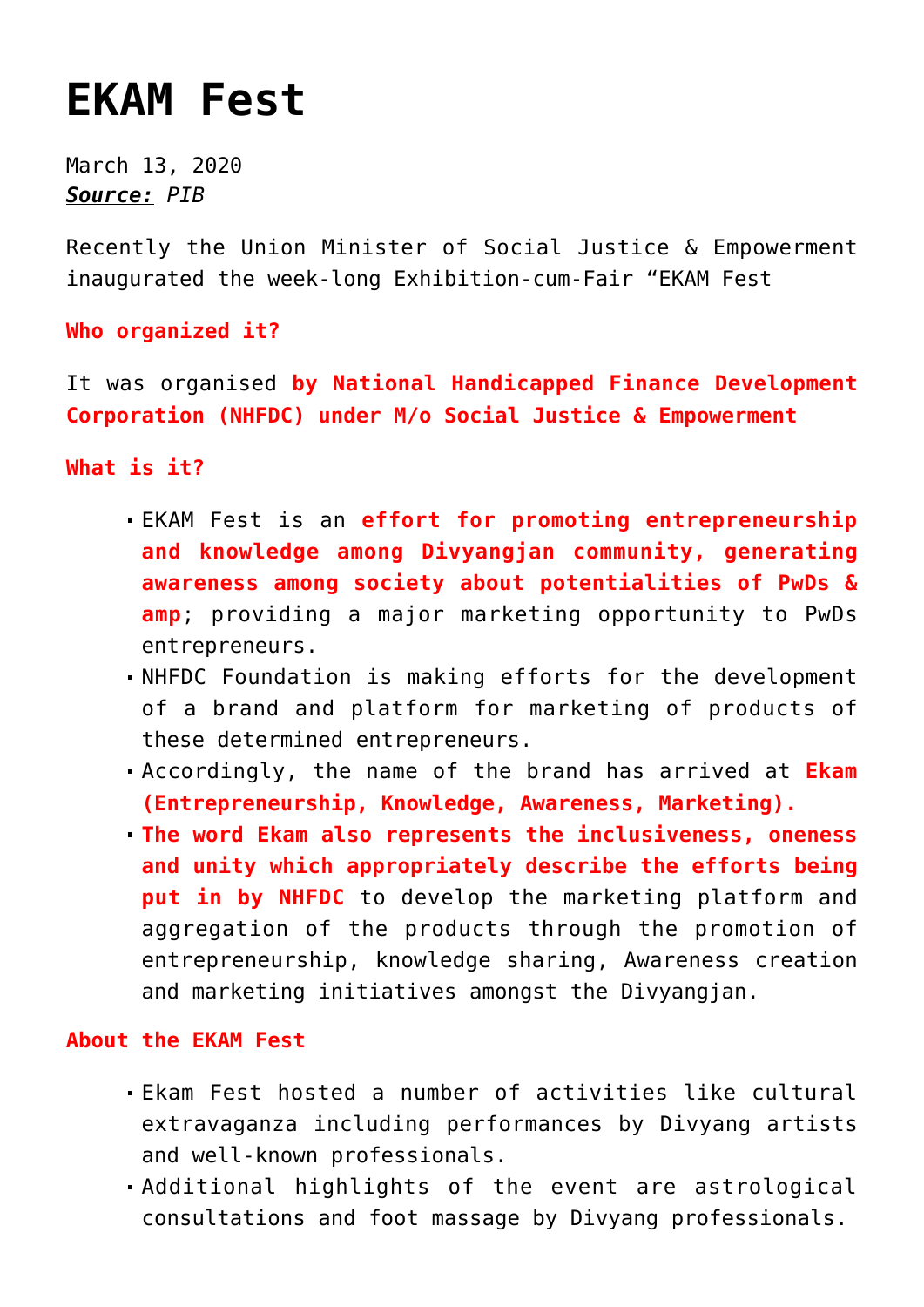## **[EKAM Fest](https://journalsofindia.com/ekam-fest/)**

March 13, 2020 *Source: PIB*

Recently the Union Minister of Social Justice & Empowerment inaugurated the week-long Exhibition-cum-Fair "EKAM Fest

**Who organized it?**

It was organised **by National Handicapped Finance Development Corporation (NHFDC) under M/o Social Justice & Empowerment**

**What is it?**

- EKAM Fest is an **effort for promoting entrepreneurship and knowledge among Divyangjan community, generating awareness among society about potentialities of PwDs & amp**; providing a major marketing opportunity to PwDs entrepreneurs.
- NHFDC Foundation is making efforts for the development of a brand and platform for marketing of products of these determined entrepreneurs.
- Accordingly, the name of the brand has arrived at **Ekam (Entrepreneurship, Knowledge, Awareness, Marketing).**
- **The word Ekam also represents the inclusiveness, oneness and unity which appropriately describe the efforts being put in by NHFDC** to develop the marketing platform and aggregation of the products through the promotion of entrepreneurship, knowledge sharing, Awareness creation and marketing initiatives amongst the Divyangjan.

## **About the EKAM Fest**

- Ekam Fest hosted a number of activities like cultural extravaganza including performances by Divyang artists and well-known professionals.
- Additional highlights of the event are astrological consultations and foot massage by Divyang professionals.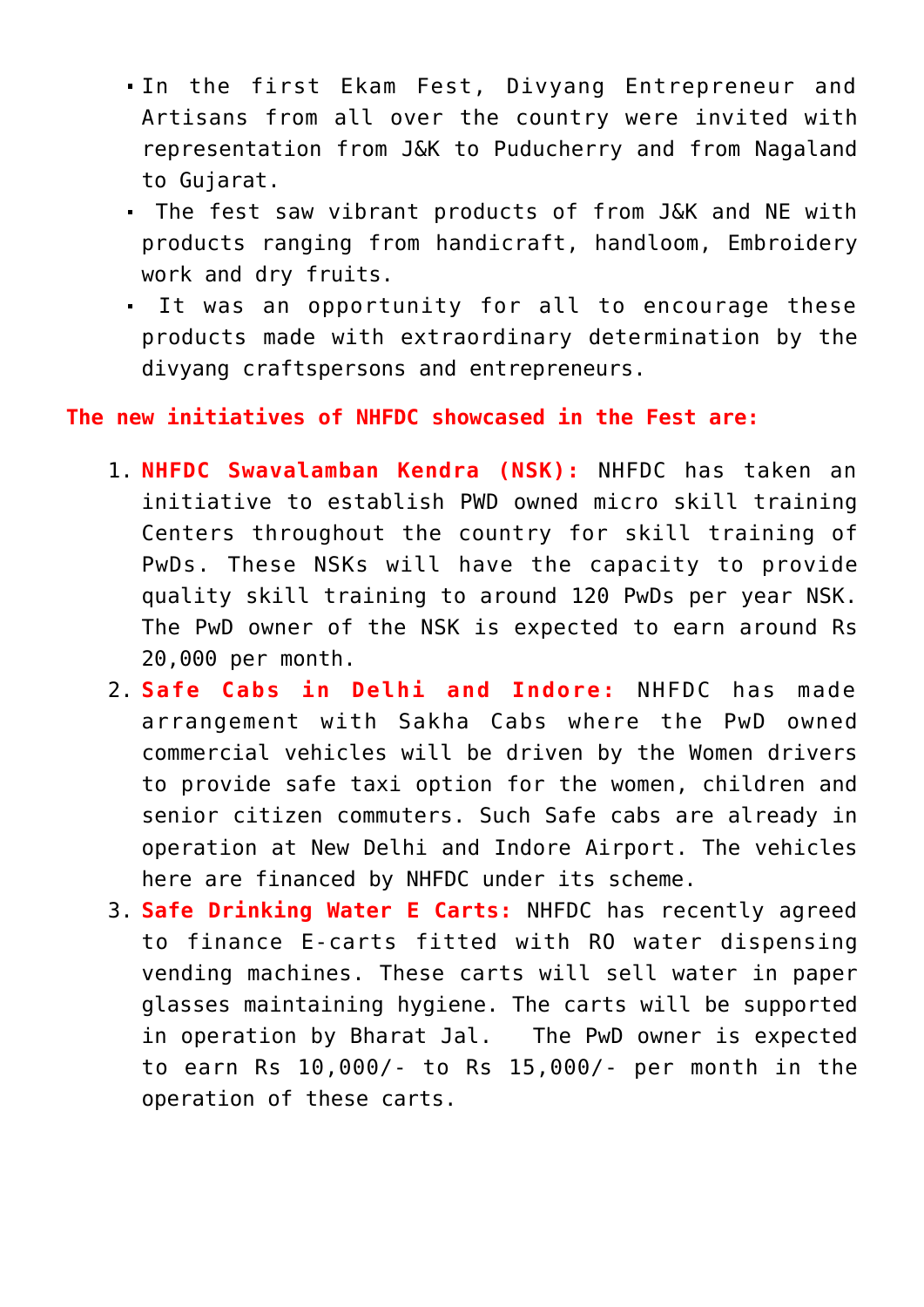- In the first Ekam Fest, Divyang Entrepreneur and Artisans from all over the country were invited with representation from J&K to Puducherry and from Nagaland to Gujarat.
- The fest saw vibrant products of from J&K and NE with products ranging from handicraft, handloom, Embroidery work and dry fruits.
- It was an opportunity for all to encourage these products made with extraordinary determination by the divyang craftspersons and entrepreneurs.

## **The new initiatives of NHFDC showcased in the Fest are:**

- 1. **NHFDC Swavalamban Kendra (NSK):** NHFDC has taken an initiative to establish PWD owned micro skill training Centers throughout the country for skill training of PwDs. These NSKs will have the capacity to provide quality skill training to around 120 PwDs per year NSK. The PwD owner of the NSK is expected to earn around Rs 20,000 per month.
- 2. **Safe Cabs in Delhi and Indore:** NHFDC has made arrangement with Sakha Cabs where the PwD owned commercial vehicles will be driven by the Women drivers to provide safe taxi option for the women, children and senior citizen commuters. Such Safe cabs are already in operation at New Delhi and Indore Airport. The vehicles here are financed by NHFDC under its scheme.
- 3. **Safe Drinking Water E Carts:** NHFDC has recently agreed to finance E-carts fitted with RO water dispensing vending machines. These carts will sell water in paper glasses maintaining hygiene. The carts will be supported in operation by Bharat Jal. The PwD owner is expected to earn Rs 10,000/- to Rs 15,000/- per month in the operation of these carts.